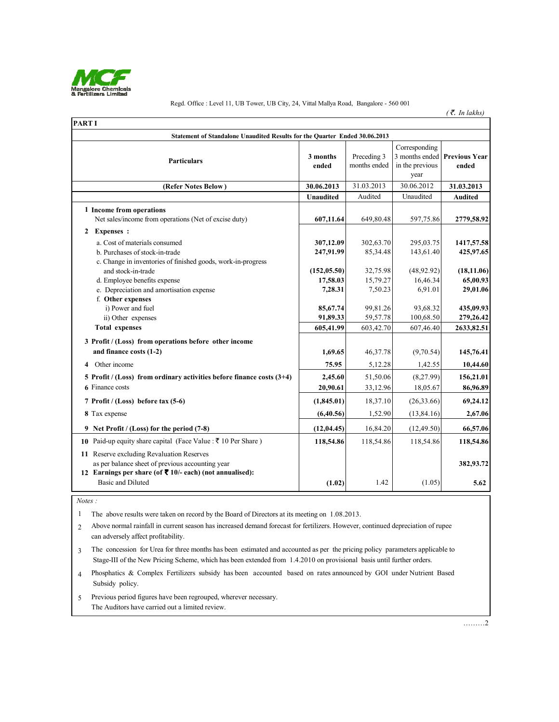

Regd. Office : Level 11, UB Tower, UB City, 24, Vittal Mallya Road, Bangalore - 560 001

 $($   $\bar{\tau}$ . In lakhs)

| <b>PART I</b>                                                                                                                                                                         |                                     |                                 |                                                            |                                     |
|---------------------------------------------------------------------------------------------------------------------------------------------------------------------------------------|-------------------------------------|---------------------------------|------------------------------------------------------------|-------------------------------------|
| Statement of Standalone Unaudited Results for the Quarter Ended 30.06.2013                                                                                                            |                                     |                                 |                                                            |                                     |
| <b>Particulars</b>                                                                                                                                                                    | 3 months<br>ended                   | Preceding 3<br>months ended     | Corresponding<br>3 months ended<br>in the previous<br>year | <b>Previous Year</b><br>ended       |
| (Refer Notes Below)                                                                                                                                                                   | 30.06.2013                          | 31.03.2013                      | 30.06.2012                                                 | 31.03.2013                          |
|                                                                                                                                                                                       | <b>Unaudited</b>                    | Audited                         | Unaudited                                                  | <b>Audited</b>                      |
| 1 Income from operations<br>Net sales/income from operations (Net of excise duty)                                                                                                     | 607,11.64                           | 649,80.48                       | 597,75.86                                                  | 2779,58.92                          |
| 2 Expenses :<br>a. Cost of materials consumed<br>b. Purchases of stock-in-trade<br>c. Change in inventories of finished goods, work-in-progress                                       | 307,12.09<br>247,91.99              | 302,63.70<br>85,34.48           | 295,03.75<br>143,61.40                                     | 1417,57.58<br>425,97.65             |
| and stock-in-trade<br>d. Employee benefits expense<br>e. Depreciation and amortisation expense<br>f. Other expenses                                                                   | (152, 05.50)<br>17,58.03<br>7,28.31 | 32,75.98<br>15,79.27<br>7,50.23 | (48, 92.92)<br>16,46.34<br>6,91.01                         | (18, 11.06)<br>65,00.93<br>29,01.06 |
| i) Power and fuel<br>ii) Other expenses                                                                                                                                               | 85,67.74<br>91,89.33                | 99,81.26<br>59,57.78            | 93,68.32<br>100,68.50                                      | 435,09.93<br>279,26.42              |
| <b>Total expenses</b>                                                                                                                                                                 | 605,41.99                           | 603,42.70                       | 607,46.40                                                  | 2633,82.51                          |
| 3 Profit / (Loss) from operations before other income<br>and finance costs (1-2)<br>4 Other income                                                                                    | 1,69.65<br>75.95                    | 46,37.78<br>5,12.28             | (9,70.54)<br>1,42.55                                       | 145,76.41<br>10,44.60               |
| 5 Profit / (Loss) from ordinary activities before finance costs $(3+4)$<br>6 Finance costs                                                                                            | 2,45.60<br>20,90.61                 | 51,50.06<br>33,12.96            | (8,27.99)<br>18,05.67                                      | 156,21.01<br>86,96.89               |
| 7 Profit / (Loss) before tax $(5-6)$                                                                                                                                                  | (1,845.01)                          | 18,37.10                        | (26, 33.66)                                                | 69,24.12                            |
| 8 Tax expense                                                                                                                                                                         | (6, 40.56)                          | 1,52.90                         | (13, 84.16)                                                | 2,67.06                             |
| 9 Net Profit / (Loss) for the period (7-8)                                                                                                                                            | (12, 04.45)                         | 16,84.20                        | (12, 49.50)                                                | 66,57.06                            |
| <b>10</b> Paid-up equity share capital (Face Value : ₹ 10 Per Share)                                                                                                                  | 118,54.86                           | 118,54.86                       | 118,54.86                                                  | 118,54.86                           |
| 11 Reserve excluding Revaluation Reserves<br>as per balance sheet of previous accounting year<br>12 Earnings per share (of ₹ 10/- each) (not annualised):<br><b>Basic and Diluted</b> | (1.02)                              | 1.42                            | (1.05)                                                     | 382,93.72<br>5.62                   |
|                                                                                                                                                                                       |                                     |                                 |                                                            |                                     |

Notes :

1 The above results were taken on record by the Board of Directors at its meeting on 1.08.2013.

2 Above normal rainfall in current season has increased demand forecast for fertilizers. However, continued depreciation of rupee can adversely affect profitability.

3 The concession for Urea for three months has been estimated and accounted as per the pricing policy parameters applicable to Stage-III of the New Pricing Scheme, which has been extended from 1.4.2010 on provisional basis until further orders.

4 Phosphatics & Complex Fertilizers subsidy has been accounted based on rates announced by GOI under Nutrient BasedSubsidy policy.

- 5 Previous period figures have been regrouped, wherever necessary.
- The Auditors have carried out a limited review.

………2